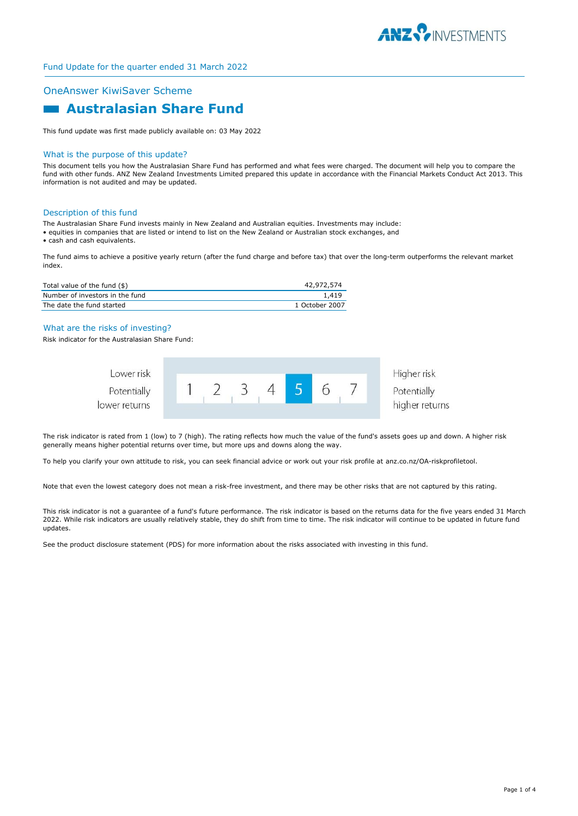

## OneAnswer KiwiSaver Scheme

# **Australasian Share Fund**

This fund update was first made publicly available on: 03 May 2022

#### What is the purpose of this update?

This document tells you how the Australasian Share Fund has performed and what fees were charged. The document will help you to compare the fund with other funds. ANZ New Zealand Investments Limited prepared this update in accordance with the Financial Markets Conduct Act 2013. This information is not audited and may be updated.

#### Description of this fund

The Australasian Share Fund invests mainly in New Zealand and Australian equities. Investments may include:

- equities in companies that are listed or intend to list on the New Zealand or Australian stock exchanges, and
- cash and cash equivalents.

The fund aims to achieve a positive yearly return (after the fund charge and before tax) that over the long-term outperforms the relevant market index.

| Total value of the fund (\$)    | 42,972,574     |
|---------------------------------|----------------|
| Number of investors in the fund | 1.419          |
| The date the fund started       | 1 October 2007 |

#### What are the risks of investing?

Risk indicator for the Australasian Share Fund:

| Lower risk    |  |  |  | Higher risk    |
|---------------|--|--|--|----------------|
| Potentially   |  |  |  | Potentially    |
| lower returns |  |  |  | higher returns |

The risk indicator is rated from 1 (low) to 7 (high). The rating reflects how much the value of the fund's assets goes up and down. A higher risk generally means higher potential returns over time, but more ups and downs along the way.

To help you clarify your own attitude to risk, you can seek financial advice or work out your risk profile at anz.co.nz/OA-riskprofiletool.

Note that even the lowest category does not mean a risk-free investment, and there may be other risks that are not captured by this rating.

This risk indicator is not a guarantee of a fund's future performance. The risk indicator is based on the returns data for the five years ended 31 March 2022. While risk indicators are usually relatively stable, they do shift from time to time. The risk indicator will continue to be updated in future fund updates.

See the product disclosure statement (PDS) for more information about the risks associated with investing in this fund.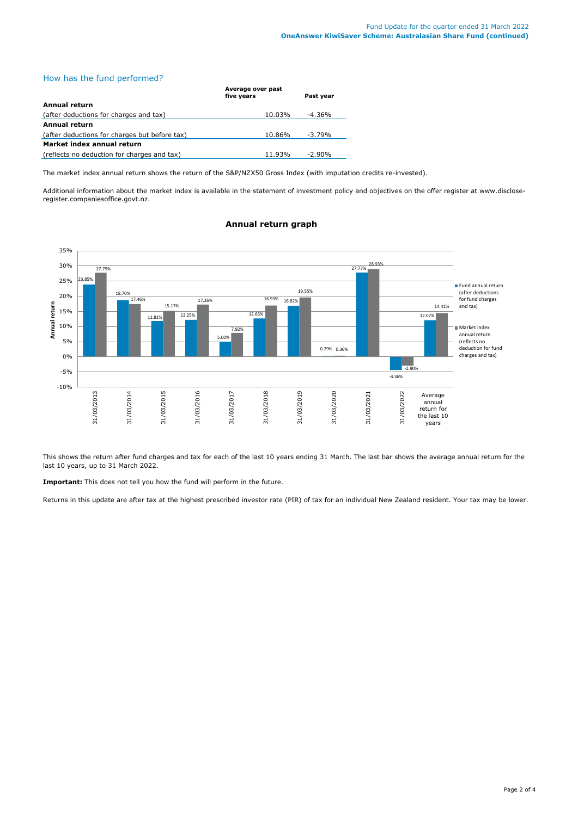# How has the fund performed?

|                                               | Average over past<br>five vears | Past vear |
|-----------------------------------------------|---------------------------------|-----------|
| Annual return                                 |                                 |           |
| (after deductions for charges and tax)        | 10.03%                          | -4.36%    |
| Annual return                                 |                                 |           |
| (after deductions for charges but before tax) | 10.86%                          | $-3.79%$  |
| Market index annual return                    |                                 |           |
| (reflects no deduction for charges and tax)   | 11.93%                          | $-2.90\%$ |

The market index annual return shows the return of the S&P/NZX50 Gross Index (with imputation credits re-invested).

Additional information about the market index is available in the statement of investment policy and objectives on the offer register at www.discloseregister.companiesoffice.govt.nz.



# **Annual return graph**

This shows the return after fund charges and tax for each of the last 10 years ending 31 March. The last bar shows the average annual return for the last 10 years, up to 31 March 2022.

**Important:** This does not tell you how the fund will perform in the future.

Returns in this update are after tax at the highest prescribed investor rate (PIR) of tax for an individual New Zealand resident. Your tax may be lower.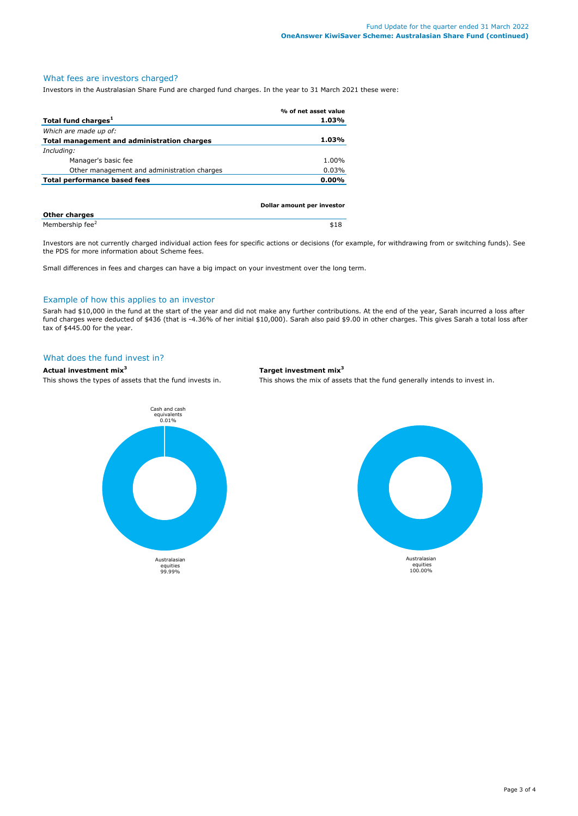# What fees are investors charged?

Investors in the Australasian Share Fund are charged fund charges. In the year to 31 March 2021 these were:

|                                             | % of net asset value       |
|---------------------------------------------|----------------------------|
| Total fund charges <sup>1</sup>             | 1.03%                      |
| Which are made up of:                       |                            |
| Total management and administration charges | 1.03%                      |
| Including:                                  |                            |
| Manager's basic fee                         | 1.00%                      |
| Other management and administration charges | 0.03%                      |
| Total performance based fees                | $0.00\%$                   |
|                                             |                            |
|                                             |                            |
|                                             | Dollar amount per investor |

| <b>Other charges</b>        |  |
|-----------------------------|--|
| Membership fee <sup>2</sup> |  |

Investors are not currently charged individual action fees for specific actions or decisions (for example, for withdrawing from or switching funds). See the PDS for more information about Scheme fees.

Small differences in fees and charges can have a big impact on your investment over the long term.

#### Example of how this applies to an investor

Sarah had \$10,000 in the fund at the start of the year and did not make any further contributions. At the end of the year, Sarah incurred a loss after fund charges were deducted of \$436 (that is -4.36% of her initial \$10,000). Sarah also paid \$9.00 in other charges. This gives Sarah a total loss after tax of \$445.00 for the year.

#### What does the fund invest in?

# **Actual investment mix<sup>3</sup> Target investment mix<sup>3</sup>**

Cash and cash equivalents 0.01% Australasian equities 99.99%

This shows the types of assets that the fund invests in. This shows the mix of assets that the fund generally intends to invest in.